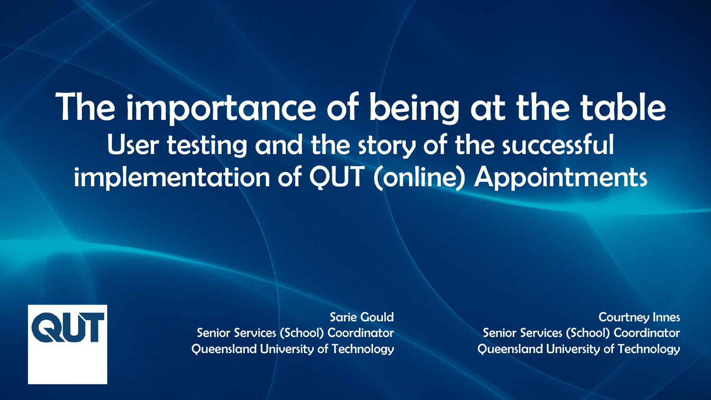## The importance of being at the table User testing and the story of the successful implementation of QUT (online) Appointments



Sarie Gould Senior Services (School) Coordinator Queensland University of Technology

Courtney Innes Senior Services (School) Coordinator Queensland University of Technology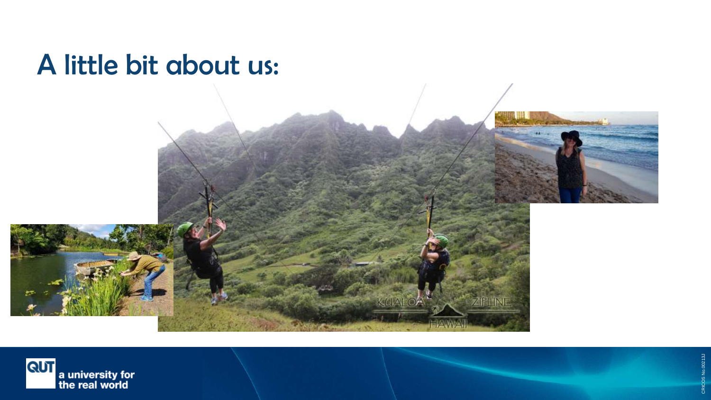## A little bit about us:





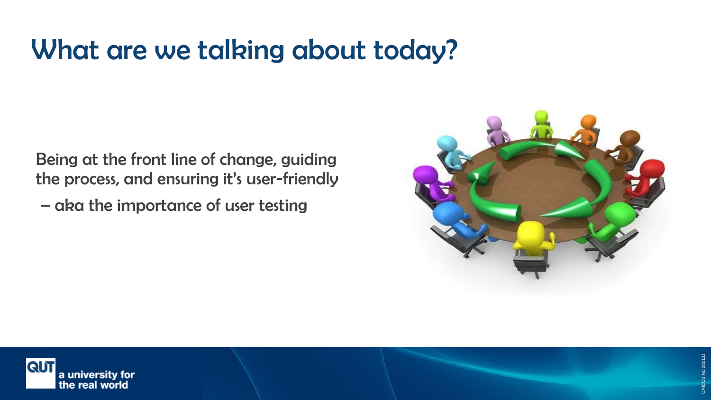## What are we talking about today?

Being at the front line of change, guiding the process, and ensuring it's user-friendly

– aka the importance of user testing



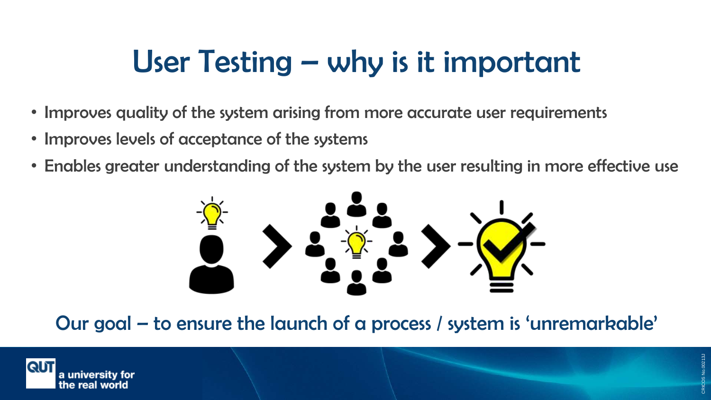# User Testing – why is it important

- Improves quality of the system arising from more accurate user requirements
- Improves levels of acceptance of the systems
- Enables greater understanding of the system by the user resulting in more effective use



Our goal – to ensure the launch of a process / system is 'unremarkable'

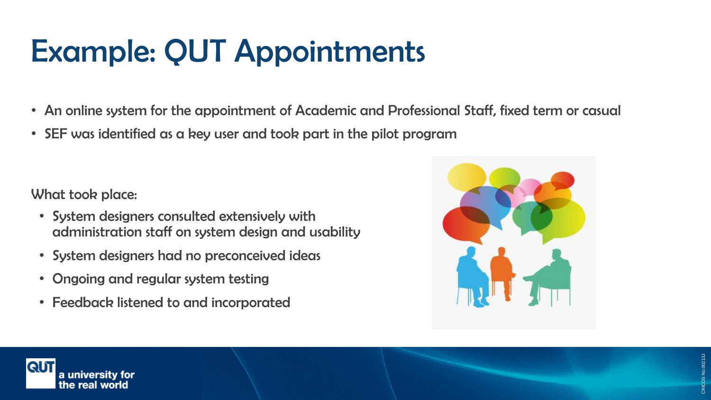# Example: QUT Appointments

- An online system for the appointment of Academic and Professional Staff, fixed term or casual
- SEF was identified as a key user and took part in the pilot program

What took place:

- System designers consulted extensively with administration staff on system design and usability
- System designers had no preconceived ideas
- Ongoing and regular system testing
- Feedback listened to and incorporated



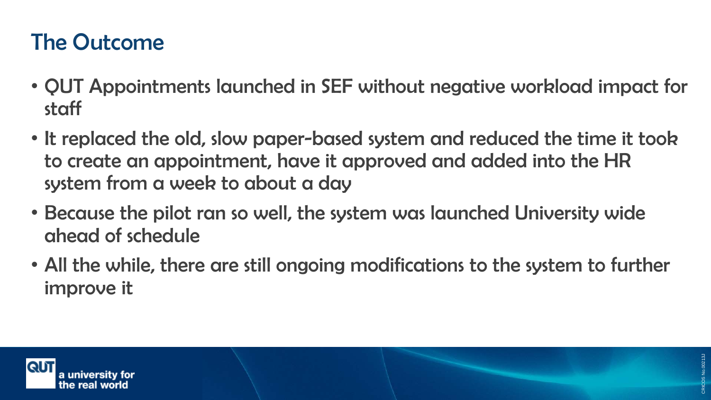### The Outcome

- QUT Appointments launched in SEF without negative workload impact for staff
- It replaced the old, slow paper-based system and reduced the time it took to create an appointment, have it approved and added into the HR system from a week to about a day
- Because the pilot ran so well, the system was launched University wide ahead of schedule
- All the while, there are still ongoing modifications to the system to further improve it

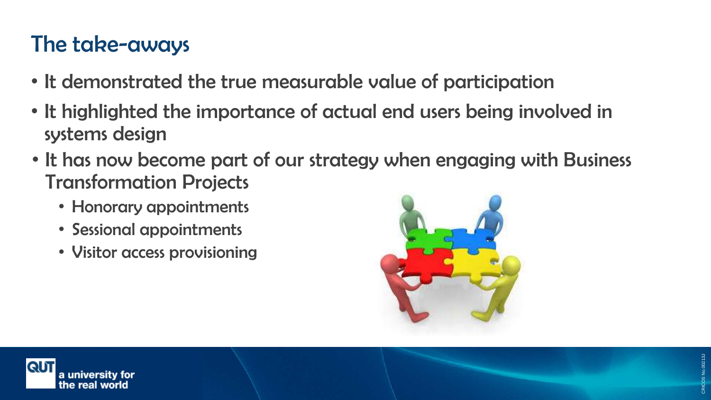### The take-aways

- It demonstrated the true measurable value of participation
- It highlighted the importance of actual end users being involved in systems design
- It has now become part of our strategy when engaging with Business Transformation Projects
	- Honorary appointments
	- Sessional appointments
	- Visitor access provisioning





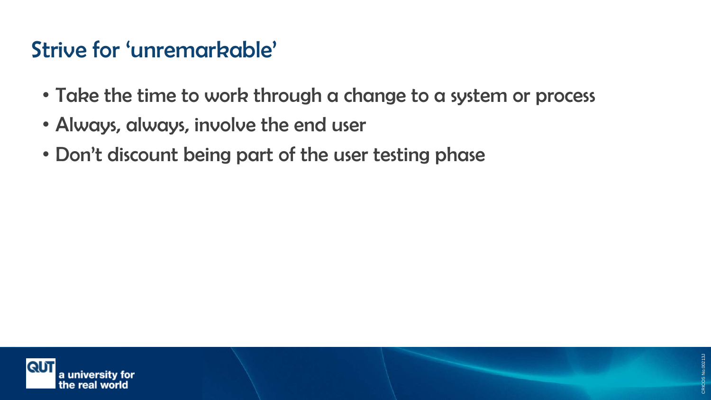### Strive for 'unremarkable'

- Take the time to work through a change to a system or process
- Always, always, involve the end user
- Don't discount being part of the user testing phase